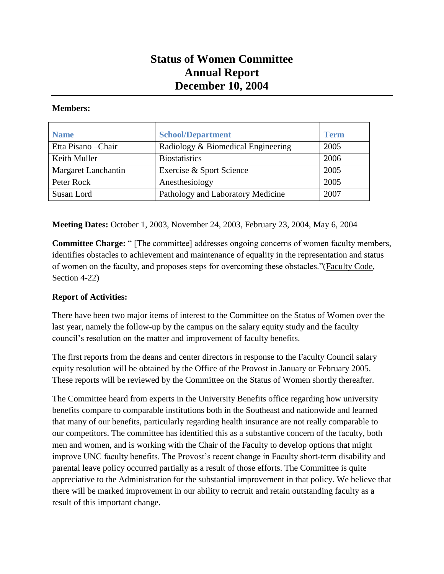## **Status of Women Committee Annual Report December 10, 2004**

## **Members:**

| <b>Name</b>         | <b>School/Department</b>           | <b>Term</b> |
|---------------------|------------------------------------|-------------|
| Etta Pisano - Chair | Radiology & Biomedical Engineering | 2005        |
| Keith Muller        | <b>Biostatistics</b>               | 2006        |
| Margaret Lanchantin | Exercise & Sport Science           | 2005        |
| Peter Rock          | Anesthesiology                     | 2005        |
| Susan Lord          | Pathology and Laboratory Medicine  | 2007        |

**Meeting Dates:** October 1, 2003, November 24, 2003, February 23, 2004, May 6, 2004

**Committee Charge:** " [The committee] addresses ongoing concerns of women faculty members, identifies obstacles to achievement and maintenance of equality in the representation and status of women on the faculty, and proposes steps for overcoming these obstacles."(Faculty Code, Section 4-22)

## **Report of Activities:**

There have been two major items of interest to the Committee on the Status of Women over the last year, namely the follow-up by the campus on the salary equity study and the faculty council's resolution on the matter and improvement of faculty benefits.

The first reports from the deans and center directors in response to the Faculty Council salary equity resolution will be obtained by the Office of the Provost in January or February 2005. These reports will be reviewed by the Committee on the Status of Women shortly thereafter.

The Committee heard from experts in the University Benefits office regarding how university benefits compare to comparable institutions both in the Southeast and nationwide and learned that many of our benefits, particularly regarding health insurance are not really comparable to our competitors. The committee has identified this as a substantive concern of the faculty, both men and women, and is working with the Chair of the Faculty to develop options that might improve UNC faculty benefits. The Provost's recent change in Faculty short-term disability and parental leave policy occurred partially as a result of those efforts. The Committee is quite appreciative to the Administration for the substantial improvement in that policy. We believe that there will be marked improvement in our ability to recruit and retain outstanding faculty as a result of this important change.